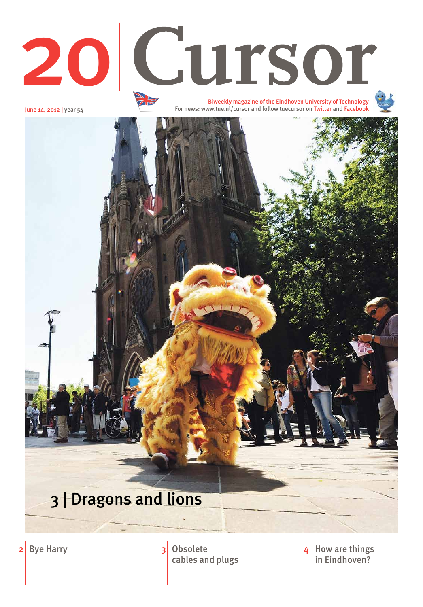June 14, 2012 | year 54

How are things in Eindhoven? 4

cables and plugs



2 Bye Harry 2 3 Obsolete

Biweekly magazine of the Eindhoven University of Technology For news: www.tue.nl/cursor and follow tuecursor on Twitter and Facebook





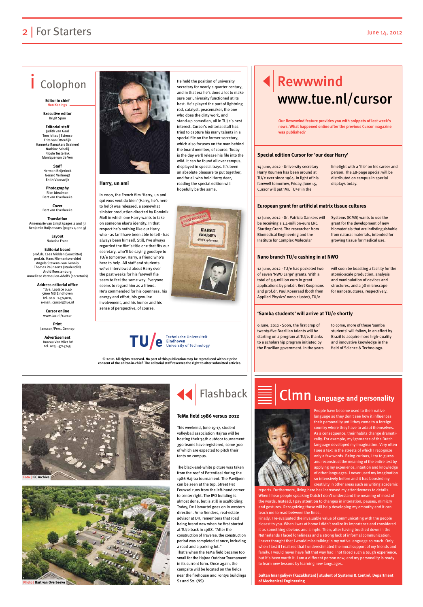### **Harry, un ami**

In 2000, the French film 'Harry, un ami qui vous veut du bien' (Harry, he's here to help) was released, a somewhat sinister production directed by Dominik Moll in which one Harry wants to take on someone else's identity. In that respect he's nothing like our Harry, who - as far I have been able to tell - has always been himself. Still, I've always regarded the film's title one that fits our secretary, who'll be saying goodbye to TU/e tomorrow. Harry, a friend who's here to help. All staff and students we've interviewed about Harry over the past weeks for his farewell file seem to feel the same way. Everyone seems to regard him as a friend. He's commended for his openness, his energy and effort, his genuine involvement, and his humor and his sense of perspective, of course.

**Translation** Annemarie van Limpt (pages 2 and 3) Beniamin Ruijsenaars (pages 4 and 5)

> **Cursor online** www.tue.nl/curso

He held the position of university secretary for nearly a quarter century. and in that era he's done a lot to make sure our university functioned at its best. He's played the part of lightning rod, catalyst, peacemaker, the one who does the dirty work, and stand-up comedian, all in TU/e's best interest. Cursor's editorial staff has tried to capture his many talents in a special file on the former secretary, which also focuses on the man behind the board member, of course. Today is the day we'll release his file into the wild. It can be found all over campus, displayed in special trays. It's been an absolute pleasure to put together, and for all who hold Harry dear, reading the special edition will hopefully be the same.



# TU/C Eindhoven<br>University of Technology

## Rewwwind www.tue.nl/cursor

### 2 | For Starters June 14, 2012

### Colophon

#### **Editor in chief Han Konings**

**Executive editor**  Brigit Span

**Editorial staff** Judith van Gaal Tom Jeltes | Science Frits van Otterdijk Hanneke Ramakers (trainee) Norbine Schalij Nicole Testerink Monique van de Ven

> **Staff**  Herman Beijerinck Gerard Verhoogt Enith Vlooswijk

**Photography**  Rien Meulman Bart van Overbeeke

**Cover** Bart van Overbeeke

> **Layout** Natasha Franc

#### **Editorial board** prof.dr. Cees Midden (voorzitter) prof.dr. Hans Niemantsverdriet Angela Stevens- van Gennip Thomas Reijnaerts (studentlid) Arold Roestenburg Anneliese Vermeulen-Adolfs (secretaris)

**Address editorial office** TU/e, Laplace 0.40 5600 MB Eindhoven tel. 040 - 2474020, e-mail: cursor@tue.nl

**Print** Janssen/Pers, Gennep

**Advertisement** Bureau Van Vliet BV tel. 023 - 5714745



**© 2012. All rights reserved. No part of this publication may be reproduced without prior consent of the editor-in-chief. The editorial staff reserves the right to alter submitted articles.**

14 June, 2012 - University secretary Harry Roumen has been around at TU/e ever since 1964. In light of his farewell tomorrow, Friday, June 15, Cursor will put 'Mr. TU/e' in the

limelight with a 'file' on his career and person. The 48-page special will be distributed on campus in special displays today.

12 June, 2012 - Dr. Patricia Dankers will be receiving a 1.4-million-euro ERC Starting Grant. The researcher from Biomedical Engineering and the Institute for Complex Molecular

Systems (ICMS) wants to use the grant for the development of new biomaterials that are indistinguishable from natural materials, intended for growing tissue for medical use.

12 June, 2012 - TU/e has pocketed two of seven 'NWO Large' grants. With a total of 3.5-million euro in grant applications by prof.dr. Bert Koopmans and prof.dr. Paul Koenraad (both from Applied Physics' nano cluster), TU/e

will soon be boasting a facility for the atomic-scale production, analysis and manipulation of devices and structures, and a 3D microscope for nanostructures, respectively.

6 June, 2012 - Soon, the first crop of twenty-five Brazilian talents will be starting on a program at TU/e, thanks to a scholarship program initiated by the Brazilian government. In the years

to come, more of these 'samba students' will follow, in an effort by Brazil to acquire more high-quality and innovative knowledge in the field of Science & Technology.

### **Special edition Cursor for 'our dear Harry'**

### **European grant for artificial matrix tissue cultures**

#### **Nano branch TU/e cashing in at NWO**

#### **'Samba students' will arrive at TU/e shortly**

**Our Rewwwind feature provides you with snippets of last week's news. What happened online after the previous Cursor magazine was published?**

> People have become used to their native language so they don't see how it influences their personality until they come to a foreign country where they have to adapt themselves. As a consequence, their habits change dramatically. For example, my ignorance of the Dutch language developed my imagination. Very often I see a text in the streets of which I recognize only a few words. Being curious, I try to guess and reconstruct the meaning of the entire text by

applying my experience, intuition and knowledge of other languages. I never used my imagination so intensively before and it has boosted my creativity in other areas such as writing academic

reports. Furthermore, living here has increased my attentiveness to details. When I hear people speaking Dutch I don't understand the meaning of most of the words. Instead, I pay attention to changes in intonation, pauses, mimicry and gestures. Recognizing those will help developing my empathy and it can teach me to read between the lines.

Finally, I re-evaluated the invaluable value of communicating with the people closest to you. When I was at home I didn't realize its importance and considered it as something obvious and simple. Then, after having touched down in the Netherlands I faced loneliness and a strong lack of informal communication. I never thought that I would miss talking in my native language so much. Only when I lost it I realized that I underestimated the moral support of my friends and family. I would never have felt that way had I not faced such a tough experience, but it's been worth it. I am a different person now, and my personality is ready to learn new lessons by learning new languages.

**Sultan Imangaliyev (Kazakhstan) | student of Systems & Control, Department of Mechanical Engineering**

## Clmn **Language and personality**

This weekend, June 15-17, student volleyball association Hajraa will be hosting their 34th outdoor tournament. 390 teams have registered, some 300 of which are expected to pitch their tents on campus.

The black-and-white picture was taken from the roof of Potentiaal during the 1986 Hajraa tournament. The Paviljoen can be seen at the top. Street Het Eeuwsel runs from the left-hand corner to center right. The IPO building is almost done, but is still in scaffolding. Today, De Lismortel goes on in western direction. Arno Senders, real-estate advisor at DH, remembers that road being brand new when he first started at TU/e back in 1988. "After the construction of Traverse, the construction period was completed at once, including a road and a parking lot." That's when the TeMa field became too small for the Hajraa Outdoor Tournament in its current form. Once again, the campsite will be located on the fields near the firehouse and Fontys buildings S1 and S2. (NS)



#### **TeMa field 1986 versus 2012**





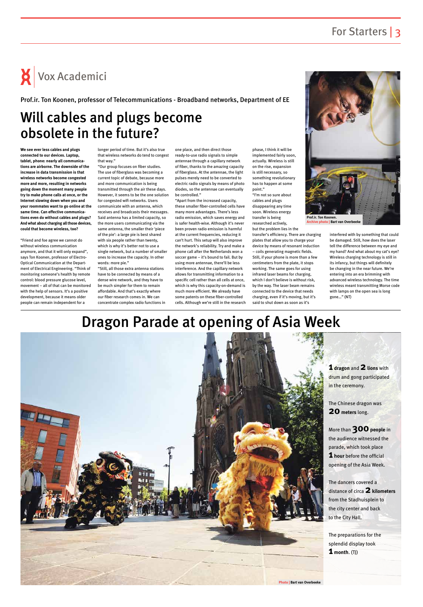# $\mathsf{X}$  Vox Academici

### Dragon Parade at opening of Asia Week

**1 dragon** and **2lions** with drum and gong participated

More than **300** people in the audience witnessed the parade, which took place **1 hour** before the official



### Will cables and plugs become obsolete in the future?

**We see ever less cables and plugs connected to our devices. Laptop, tablet, phone: nearly all communications are airborne. The downside of the increase in data transmission is that wireless networks become congested more and more, resulting in networks going down the moment many people try to make phone calls at once, or the Internet slowing down when you and your roommates want to go online at the same time. Can effective communications even do without cables and plugs? And what about charging all those devices, could that become wireless, too?**

"Friend and foe agree we cannot do without wireless communication anymore, and that it will only expand", says Ton Koonen, professor of Electro-Optical Communication at the Department of Electrical Engineering. "Think of monitoring someone's health by remote control: blood pressure glucose level, movement – all of that can be monitored with the help of sensors. It's a positive development, because it means older people can remain independent for a

longer period of time. But it's also true that wireless networks do tend to congest that way."

"Our group focuses on fiber studies. The use of fiberglass was becoming a current topic of debate, because more and more communication is being transmitted through the air these days. However, it seems to be the one solution for congested wifi networks. Users communicate with an antenna, which receives and broadcasts their messages. Said antenna has a limited capacity, so the more users communicating via the same antenna, the smaller their 'piece of the pie': a large pie is best shared with six people rather than twenty, which is why it's better not to use a single network, but a number of smaller ones to increase the capacity. In other words: more pie."

"Still, all those extra antenna stations have to be connected by means of a dense wire network, and they have to be much simpler for them to remain affordable. And that's exactly where our fiber research comes in. We can concentrate complex radio functions in

one place, and then direct those ready-to-use radio signals to simple antennae through a capillary network of fiber, thanks to the amazing capacity of fiberglass. At the antennae, the light pulses merely need to be converted to electric radio signals by means of photo diodes, so the antennae can eventually be controlled."

"Apart from the increased capacity, these smaller fiber-controlled cells have many more advantages. There's less radio emission, which saves energy and is safer health-wise. Although it's never been proven radio emission is harmful at the current frequencies, reducing it can't hurt. This setup will also improve the network's reliability. Try and make a phone call after the Netherlands won a soccer game – it's bound to fail. But by using more antennae, there'll be less interference. And the capillary network allows for transmitting information to a specific cell rather than all cells at once, which is why this capacity-on-demand is much more efficient. We already have some patents on these fiber-controlled cells. Although we're still in the research

phase, I think it will be implemented fairly soon, actually. Wireless is still on the rise, expansion is still necessary, so something revolutionary has to happen at some point."

"I'm not so sure about cables and plugs disappearing any time soon. Wireless energy transfer is being researched actively, but the problem lies in the

transfer's efficiency. There are charging plates that allow you to charge your device by means of resonant induction – coils generating magnetic fields. Still, if your phone is more than a few centimeters from the plate, it stops working. The same goes for using infrared laser beams for charging, which I don't believe is without risk, by the way. The laser beam remains connected to the device that needs charging, even if it's moving, but it's said to shut down as soon as it's

interfered with by something that could be damaged. Still, how does the laser tell the difference between my eye and my hand? And what about my cat's eye? Wireless charging technology is still in its infancy, but things will definitely be changing in the near future. We're entering into an era brimming with advanced wireless technology. The time wireless meant transmitting Morse code with lamps on the open sea is long gone…" (NT)

Prof.ir. Ton Koonen, professor of Telecommunications - Broadband networks, Department of EE



**Archive photo | Bart van Overbeeke**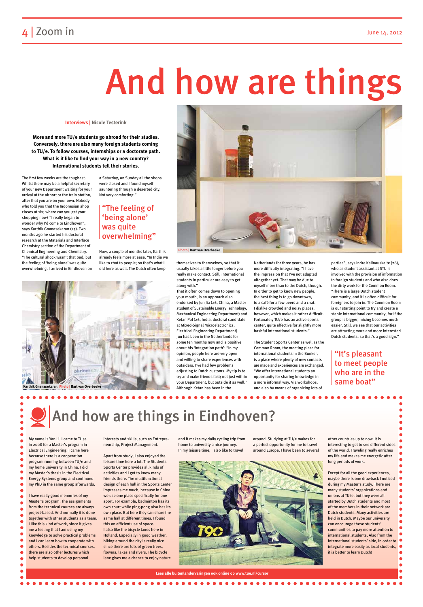### 4 | Zoom in June 14, 2012

# And how are things

My name is Yan Li. I came to TU/e in 2008 for a Master's program in Electrical Engineering. I came here because there is a cooperation

program running between TU/e and

my home university in China. I did my Master's thesis in the Electrical Energy Systems group and continued my PhD in the same group afterwards.

I have really good memories of my  $\bullet$ Master's program. The assignments  $\bullet$ from the technical courses are always project-based. And normally it is done  $\bullet$ together with other students as a team.  $\bullet$ I like this kind of work, since it gives  $\bullet$ me a feeling that I am using my  $\bullet$ knowledge to solve practical problems  $\bullet$ and I can learn how to cooperate with others. Besides the technical courses, there are also other lectures which help students to develop personal

interests and skills, such as Entrepreneurship, Project Management.

Apart from study, I also enjoyed the leisure time here a lot. The Students

Sports Center provides all kinds of activities and I got to know many friends there. The multifunctional design of each hall in the Sports Center impresses me much, because in China we use one place specifically for one sport. For example, badminton has its own court while ping-pong also has its own place. But here they can share the same hall at different times. I found this an efficient use of space. I also like the bicycle lanes here in Holland. Especially in good weather, biking around the city is really nice since there are lots of green trees, flowers, lakes and rivers. The bicycle lane gives me a chance to enjoy nature



and it makes my daily cycling trip from home to university a nice journey. In my leisure time, I also like to travel

around. Studying at TU/e makes for a perfect opportunity for me to travel around Europe. I have been to several

other countries up to now. It is interesting to get to see different sides of the world. Traveling really enriches my life and makes me energetic after long periods of work.

 $\bullet$ 

 $\bullet$ 

 $\bullet$ 

Except for all the good experiences, maybe there is one drawback I noticed during my Master's study. There are many students' organizations and unions at TU/e, but they were all started by Dutch students and most of the members in their network are Dutch students. Many activities are held in Dutch. Maybe our university can encourage these students' communities to pay more attention to international students. Also from the international students' side, in order to integrate more easily as local students, it is better to learn Dutch!

**Lees alle buitenlandervaringen ook online op www.tue.nl/cursor**

#### **.............**

The first few weeks are the toughest. Whilst there may be a helpful secretary of your new Department waiting for your arrival at the airport or the train station, after that you are on your own. Nobody who told you that the Indonesian shop closes at six; where can you get your shopping now? "I really began to wonder why I'd come to Eindhoven", says Karthik Gnanasekaran (25). Two months ago he started his doctoral research at the Materials and Interface Chemistry section of the Department of Chemical Engineering and Chemistry. "The cultural shock wasn't that bad, but the feeling of 'being alone' was quite overwhelming. I arrived in Eindhoven on a Saturday, on Sunday all the shops were closed and I found myself sauntering through a deserted city. Not very comforting."

Now, a couple of months later, Karthik already feels more at ease. "In India we like to chat to people; so that's what I did here as well. The Dutch often keep

themselves to themselves, so that it usually takes a little longer before you really make contact. Still, international students in particular are easy to get along with."

That it often comes down to opening your mouth, is an approach also endorsed by Jun Jia (26, China, a Master student of Sustainable Energy Technology, Mechanical Engineering Department) and Ketan Pol (26, India, doctoral candidate at Mixed-Signal Microelectronics, Electrical Engineering Department). Jun has been in the Netherlands for some ten months now and is positive about his 'integration path': "In my opinion, people here are very open and willing to share experiences with outsiders. I've had few problems adjusting to Dutch customs. My tip is to try and make friends fast; not just within your Department, but outside it as well." Although Ketan has been in the

Netherlands for three years, he has more difficulty integrating. "I have the impression that I've not adapted altogether yet. That may be due to myself more than to the Dutch, though. In order to get to know new people, the best thing is to go downtown, to a café for a few beers and a chat. I dislike crowded and noisy places, however, which makes it rather difficult. Fortunately TU/e has an active sports center, quite effective for slightly more bashful international students."

The Student Sports Center as well as the Common Room, the meeting place for international students in the Bunker, is a place where plenty of new contacts are made and experiences are exchanged. "We offer international students an opportunity for sharing knowledge in a more informal way. Via workshops, and also by means of organizing lots of

parties", says Indre Kalinauskaite (26), who as student assistant at STU is involved with the provision of information to foreign students and who also does the dirty work for the Common Room. "There is a large Dutch student community, and it is often difficult for foreigners to join in. The Common Room is our starting point to try and create a stable international community, for if the group is bigger, mixing becomes much easier. Still, we see that our activities are attracting more and more interested Dutch students, so that's a good sign."

**Interviews | Nicole Testerink**

**More and more TU/e students go abroad for their studies. Conversely, there are also many foreign students coming to TU/e. To follow courses, internships or a doctorate path. What is it like to find your way in a new country? International students tell their stories.**

### "The feeling of 'being alone' was quite overwhelming"

### "It's pleasant to meet people who are in the same boat"





And how are things in Eindhoven?